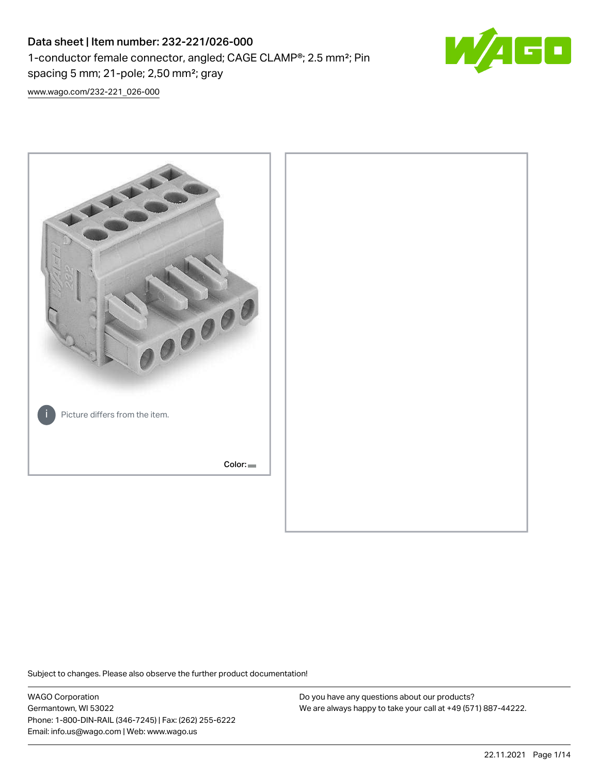# Data sheet | Item number: 232-221/026-000 1-conductor female connector, angled; CAGE CLAMP®; 2.5 mm²; Pin spacing 5 mm; 21-pole; 2,50 mm²; gray



[www.wago.com/232-221\\_026-000](http://www.wago.com/232-221_026-000)



Subject to changes. Please also observe the further product documentation!

WAGO Corporation Germantown, WI 53022 Phone: 1-800-DIN-RAIL (346-7245) | Fax: (262) 255-6222 Email: info.us@wago.com | Web: www.wago.us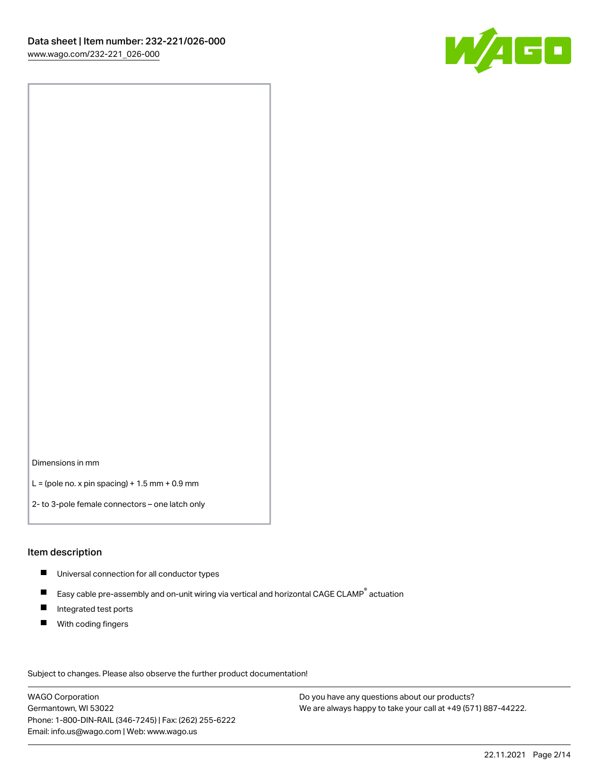

Dimensions in mm

 $L =$  (pole no. x pin spacing) + 1.5 mm + 0.9 mm

2- to 3-pole female connectors – one latch only

#### Item description

- **Universal connection for all conductor types**
- Easy cable pre-assembly and on-unit wiring via vertical and horizontal CAGE CLAMP<sup>®</sup> actuation  $\blacksquare$
- $\blacksquare$ Integrated test ports
- $\blacksquare$ With coding fingers

Subject to changes. Please also observe the further product documentation! Data

WAGO Corporation Germantown, WI 53022 Phone: 1-800-DIN-RAIL (346-7245) | Fax: (262) 255-6222 Email: info.us@wago.com | Web: www.wago.us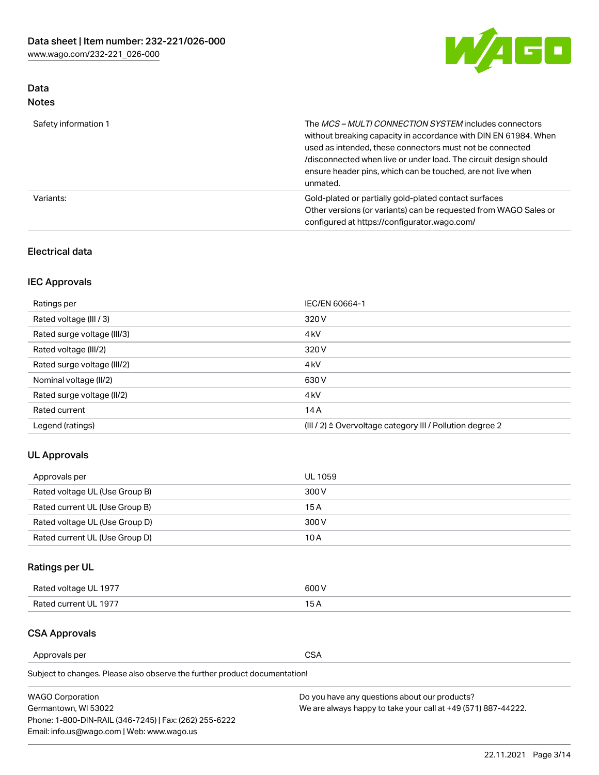

# Data Notes

| Safety information 1 | The MCS-MULTI CONNECTION SYSTEM includes connectors<br>without breaking capacity in accordance with DIN EN 61984. When<br>used as intended, these connectors must not be connected<br>/disconnected when live or under load. The circuit design should<br>ensure header pins, which can be touched, are not live when<br>unmated. |
|----------------------|-----------------------------------------------------------------------------------------------------------------------------------------------------------------------------------------------------------------------------------------------------------------------------------------------------------------------------------|
| Variants:            | Gold-plated or partially gold-plated contact surfaces<br>Other versions (or variants) can be requested from WAGO Sales or<br>configured at https://configurator.wago.com/                                                                                                                                                         |

### Electrical data

# IEC Approvals

| Ratings per                 | IEC/EN 60664-1                                                        |
|-----------------------------|-----------------------------------------------------------------------|
| Rated voltage (III / 3)     | 320 V                                                                 |
| Rated surge voltage (III/3) | 4 <sub>k</sub> V                                                      |
| Rated voltage (III/2)       | 320 V                                                                 |
| Rated surge voltage (III/2) | 4 <sub>k</sub> V                                                      |
| Nominal voltage (II/2)      | 630 V                                                                 |
| Rated surge voltage (II/2)  | 4 <sub>k</sub> V                                                      |
| Rated current               | 14A                                                                   |
| Legend (ratings)            | $(III / 2)$ $\triangle$ Overvoltage category III / Pollution degree 2 |

### UL Approvals

| Approvals per                  | UL 1059 |
|--------------------------------|---------|
| Rated voltage UL (Use Group B) | 300 V   |
| Rated current UL (Use Group B) | 15 A    |
| Rated voltage UL (Use Group D) | 300 V   |
| Rated current UL (Use Group D) | 10 A    |

# Ratings per UL

| Rated voltage UL 1977 | 500 V |
|-----------------------|-------|
| Rated current UL 1977 | . .   |

# CSA Approvals

Approvals per CSA

Subject to changes. Please also observe the further product documentation!

| <b>WAGO Corporation</b>                                | Do you have any questions about our products?                 |
|--------------------------------------------------------|---------------------------------------------------------------|
| Germantown, WI 53022                                   | We are always happy to take your call at +49 (571) 887-44222. |
| Phone: 1-800-DIN-RAIL (346-7245)   Fax: (262) 255-6222 |                                                               |
| Email: info.us@wago.com   Web: www.wago.us             |                                                               |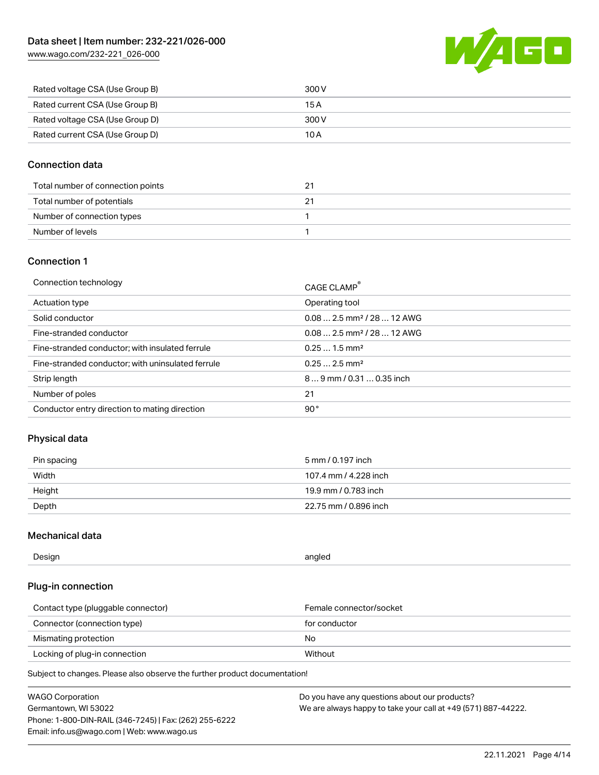[www.wago.com/232-221\\_026-000](http://www.wago.com/232-221_026-000)



| Rated voltage CSA (Use Group B) | 300 V |
|---------------------------------|-------|
| Rated current CSA (Use Group B) | 15 A  |
| Rated voltage CSA (Use Group D) | 300 V |
| Rated current CSA (Use Group D) | 10 A  |

#### Connection data

| Total number of connection points |  |
|-----------------------------------|--|
| Total number of potentials        |  |
| Number of connection types        |  |
| Number of levels                  |  |

# Connection 1

| Connection technology                             | CAGE CLAMP®                            |
|---------------------------------------------------|----------------------------------------|
| Actuation type                                    | Operating tool                         |
| Solid conductor                                   | $0.082.5$ mm <sup>2</sup> / 28  12 AWG |
| Fine-stranded conductor                           | $0.082.5$ mm <sup>2</sup> / 28  12 AWG |
| Fine-stranded conductor; with insulated ferrule   | $0.251.5$ mm <sup>2</sup>              |
| Fine-stranded conductor; with uninsulated ferrule | $0.252.5$ mm <sup>2</sup>              |
| Strip length                                      | $89$ mm $/ 0.310.35$ inch              |
| Number of poles                                   | 21                                     |
| Conductor entry direction to mating direction     | 90°                                    |

### Physical data

| Pin spacing | 5 mm / 0.197 inch     |
|-------------|-----------------------|
| Width       | 107.4 mm / 4.228 inch |
| Height      | 19.9 mm / 0.783 inch  |
| Depth       | 22.75 mm / 0.896 inch |

### Mechanical data

| --<br>Design | angled<br>. . |
|--------------|---------------|
|              |               |

### Plug-in connection

| Contact type (pluggable connector) | Female connector/socket |
|------------------------------------|-------------------------|
| Connector (connection type)        | for conductor           |
| Mismating protection               | No                      |
| Locking of plug-in connection      | Without                 |

Subject to changes. Please also observe the further product documentation!

| <b>WAGO Corporation</b>                                | Do you have any questions about our products?                 |
|--------------------------------------------------------|---------------------------------------------------------------|
| Germantown, WI 53022                                   | We are always happy to take your call at +49 (571) 887-44222. |
| Phone: 1-800-DIN-RAIL (346-7245)   Fax: (262) 255-6222 |                                                               |
| Email: info.us@wago.com   Web: www.wago.us             |                                                               |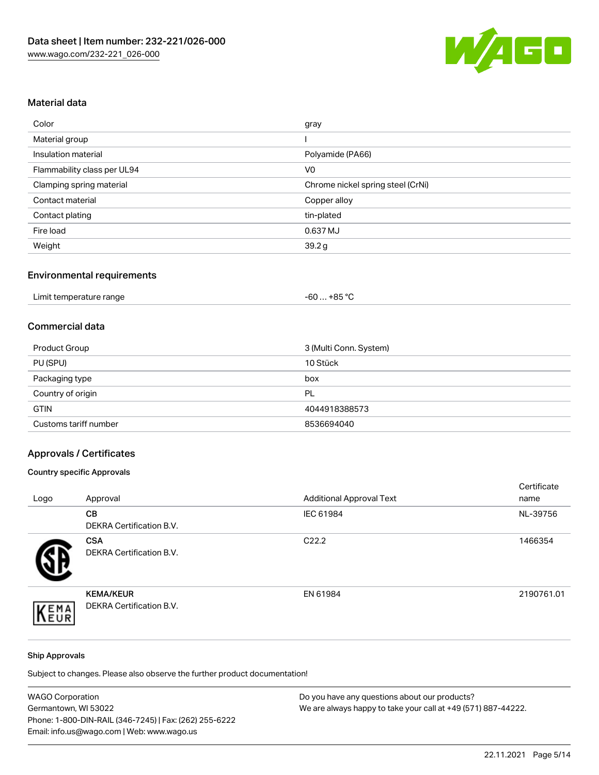

# Material data

| Color                       | gray                              |
|-----------------------------|-----------------------------------|
| Material group              |                                   |
| Insulation material         | Polyamide (PA66)                  |
| Flammability class per UL94 | V <sub>0</sub>                    |
| Clamping spring material    | Chrome nickel spring steel (CrNi) |
| Contact material            | Copper alloy                      |
| Contact plating             | tin-plated                        |
| Fire load                   | 0.637 MJ                          |
| Weight                      | 39.2 g                            |

# Environmental requirements

| Limit temperature range<br>$\blacksquare$ . The contract of the contract of the contract of the contract of the contract of the contract of the contract of the contract of the contract of the contract of the contract of the contract of the contract of the | . +85 °Ր<br>-60 |  |
|-----------------------------------------------------------------------------------------------------------------------------------------------------------------------------------------------------------------------------------------------------------------|-----------------|--|
|-----------------------------------------------------------------------------------------------------------------------------------------------------------------------------------------------------------------------------------------------------------------|-----------------|--|

#### Commercial data

| Product Group         | 3 (Multi Conn. System) |
|-----------------------|------------------------|
| PU (SPU)              | 10 Stück               |
| Packaging type        | box                    |
| Country of origin     | PL                     |
| <b>GTIN</b>           | 4044918388573          |
| Customs tariff number | 8536694040             |

# Approvals / Certificates

#### Country specific Approvals

| Logo       | Approval                                            | <b>Additional Approval Text</b> | Certificate<br>name |
|------------|-----------------------------------------------------|---------------------------------|---------------------|
|            | CВ<br><b>DEKRA Certification B.V.</b>               | IEC 61984                       | NL-39756            |
|            | <b>CSA</b><br><b>DEKRA Certification B.V.</b>       | C <sub>22.2</sub>               | 1466354             |
| EMA<br>EUR | <b>KEMA/KEUR</b><br><b>DEKRA Certification B.V.</b> | EN 61984                        | 2190761.01          |

#### Ship Approvals

Subject to changes. Please also observe the further product documentation!

| <b>WAGO Corporation</b>                                | Do you have any questions about our products?                 |
|--------------------------------------------------------|---------------------------------------------------------------|
| Germantown, WI 53022                                   | We are always happy to take your call at +49 (571) 887-44222. |
| Phone: 1-800-DIN-RAIL (346-7245)   Fax: (262) 255-6222 |                                                               |
| Email: info.us@wago.com   Web: www.wago.us             |                                                               |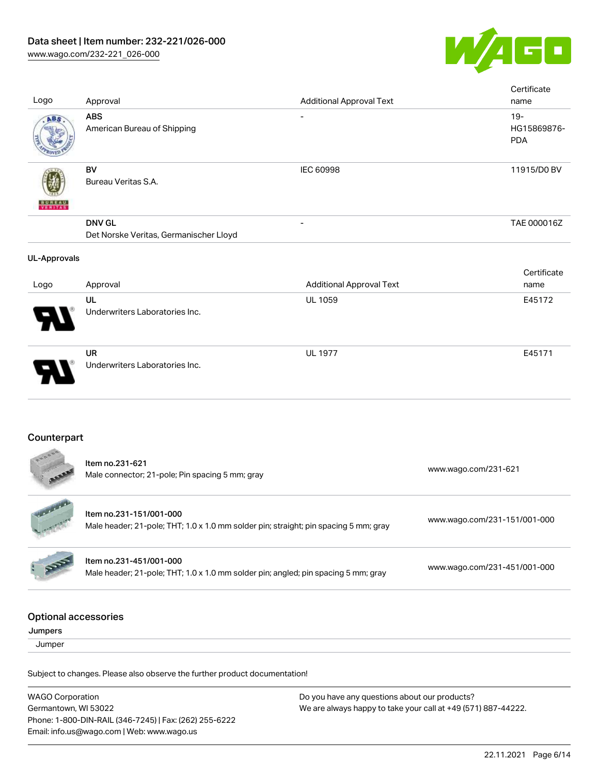

| Logo<br>Approval<br><b>Additional Approval Text</b><br><b>ABS</b><br>ABS<br>American Bureau of Shipping<br><b>BV</b><br>IEC 60998<br>Bureau Veritas S.A.<br><b>DNV GL</b><br>$\overline{\phantom{0}}$<br>Det Norske Veritas, Germanischer Lloyd | name<br>$19 -$<br>HG15869876-<br><b>PDA</b><br>11915/D0 BV<br>TAE 000016Z |
|-------------------------------------------------------------------------------------------------------------------------------------------------------------------------------------------------------------------------------------------------|---------------------------------------------------------------------------|
|                                                                                                                                                                                                                                                 |                                                                           |
|                                                                                                                                                                                                                                                 |                                                                           |
|                                                                                                                                                                                                                                                 |                                                                           |
| <b>UL-Approvals</b>                                                                                                                                                                                                                             |                                                                           |
| <b>Additional Approval Text</b><br>Approval<br>Logo                                                                                                                                                                                             | Certificate<br>name                                                       |
| UL<br>UL 1059<br>Underwriters Laboratories Inc.                                                                                                                                                                                                 | E45172                                                                    |
| <b>UR</b><br><b>UL 1977</b><br>Underwriters Laboratories Inc.                                                                                                                                                                                   | E45171                                                                    |
| Counterpart                                                                                                                                                                                                                                     |                                                                           |
| Item no.231-621<br>www.wago.com/231-621<br>Male connector; 21-pole; Pin spacing 5 mm; gray                                                                                                                                                      |                                                                           |
| Item no.231-151/001-000<br>www.wago.com/231-151/001-000<br>Male header; 21-pole; THT; 1.0 x 1.0 mm solder pin; straight; pin spacing 5 mm; gray                                                                                                 |                                                                           |
| Item no.231-451/001-000<br>www.wago.com/231-451/001-000<br>Male header; 21-pole; THT; 1.0 x 1.0 mm solder pin; angled; pin spacing 5 mm; gray                                                                                                   |                                                                           |
| <b>Optional accessories</b><br>Jumpers                                                                                                                                                                                                          |                                                                           |
| Jumper                                                                                                                                                                                                                                          |                                                                           |
| Subject to changes. Please also observe the further product documentation!                                                                                                                                                                      |                                                                           |

WAGO Corporation Germantown, WI 53022 Phone: 1-800-DIN-RAIL (346-7245) | Fax: (262) 255-6222 Email: info.us@wago.com | Web: www.wago.us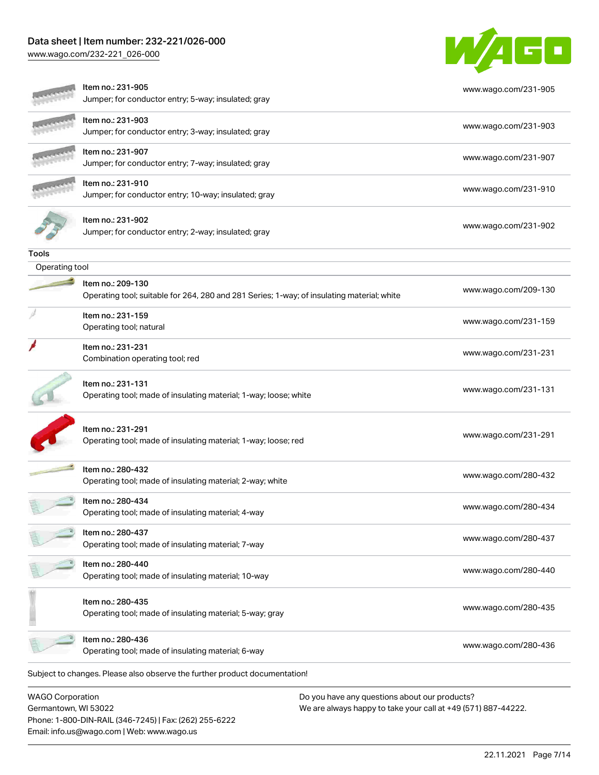# Data sheet | Item number: 232-221/026-000

Phone: 1-800-DIN-RAIL (346-7245) | Fax: (262) 255-6222

Email: info.us@wago.com | Web: www.wago.us

[www.wago.com/232-221\\_026-000](http://www.wago.com/232-221_026-000)



|                         | ltem no.: 231-905<br>Jumper; for conductor entry; 5-way; insulated; gray                                        | www.wago.com/231-905                                          |
|-------------------------|-----------------------------------------------------------------------------------------------------------------|---------------------------------------------------------------|
|                         | Item no.: 231-903<br>Jumper; for conductor entry; 3-way; insulated; gray                                        | www.wago.com/231-903                                          |
|                         | Item no.: 231-907<br>Jumper; for conductor entry; 7-way; insulated; gray                                        | www.wago.com/231-907                                          |
|                         | ltem no.: 231-910<br>Jumper; for conductor entry; 10-way; insulated; gray                                       | www.wago.com/231-910                                          |
|                         | Item no.: 231-902<br>Jumper; for conductor entry; 2-way; insulated; gray                                        | www.wago.com/231-902                                          |
| Tools                   |                                                                                                                 |                                                               |
| Operating tool          |                                                                                                                 |                                                               |
|                         | Item no.: 209-130<br>Operating tool; suitable for 264, 280 and 281 Series; 1-way; of insulating material; white | www.wago.com/209-130                                          |
|                         | Item no.: 231-159<br>Operating tool; natural                                                                    | www.wago.com/231-159                                          |
|                         | Item no.: 231-231<br>Combination operating tool; red                                                            | www.wago.com/231-231                                          |
|                         | Item no.: 231-131<br>Operating tool; made of insulating material; 1-way; loose; white                           | www.wago.com/231-131                                          |
|                         | Item no.: 231-291<br>Operating tool; made of insulating material; 1-way; loose; red                             | www.wago.com/231-291                                          |
|                         | Item no.: 280-432<br>Operating tool; made of insulating material; 2-way; white                                  | www.wago.com/280-432                                          |
|                         | Item no.: 280-434<br>Operating tool; made of insulating material; 4-way                                         | www.wago.com/280-434                                          |
|                         | ltem no.: 280-437<br>Operating tool; made of insulating material; 7-way                                         | www.wago.com/280-437                                          |
|                         | Item no.: 280-440<br>Operating tool; made of insulating material; 10-way                                        | www.wago.com/280-440                                          |
|                         | Item no.: 280-435<br>Operating tool; made of insulating material; 5-way; gray                                   | www.wago.com/280-435                                          |
|                         | Item no.: 280-436<br>Operating tool; made of insulating material; 6-way                                         | www.wago.com/280-436                                          |
|                         | Subject to changes. Please also observe the further product documentation!                                      |                                                               |
| <b>WAGO Corporation</b> |                                                                                                                 | Do you have any questions about our products?                 |
| Germantown, WI 53022    |                                                                                                                 | We are always happy to take your call at +49 (571) 887-44222. |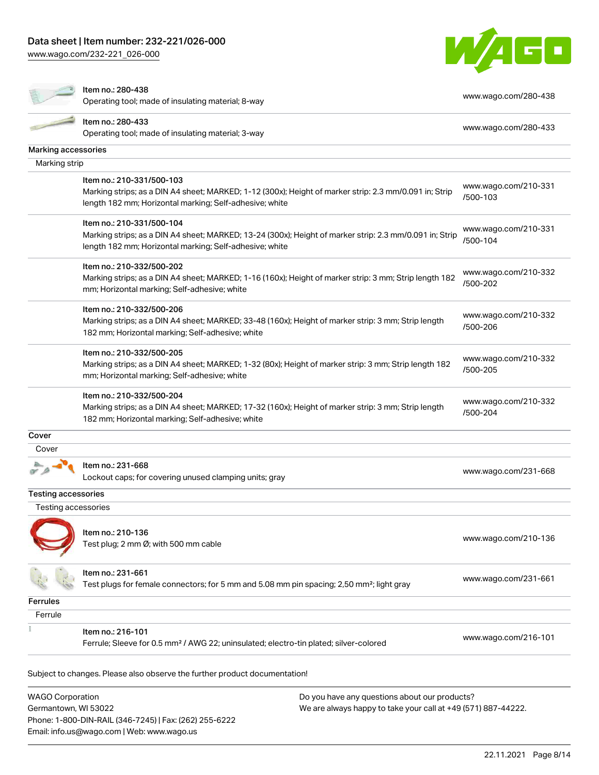[www.wago.com/232-221\\_026-000](http://www.wago.com/232-221_026-000)



#### Item no.: 280-438

nten no... 260-436<br>Operating tool; made of insulating material; 8-way [www.wago.com/280-438](http://www.wago.com/280-438)

| $\sim$                     | Item no.: 280-433                                                                                       | www.wago.com/280-433             |
|----------------------------|---------------------------------------------------------------------------------------------------------|----------------------------------|
|                            | Operating tool; made of insulating material; 3-way                                                      |                                  |
| Marking accessories        |                                                                                                         |                                  |
| Marking strip              |                                                                                                         |                                  |
|                            | Item no.: 210-331/500-103                                                                               |                                  |
|                            | Marking strips; as a DIN A4 sheet; MARKED; 1-12 (300x); Height of marker strip: 2.3 mm/0.091 in; Strip  | www.wago.com/210-331             |
|                            | length 182 mm; Horizontal marking; Self-adhesive; white                                                 | /500-103                         |
|                            | Item no.: 210-331/500-104                                                                               | www.wago.com/210-331             |
|                            | Marking strips; as a DIN A4 sheet; MARKED; 13-24 (300x); Height of marker strip: 2.3 mm/0.091 in; Strip | /500-104                         |
|                            | length 182 mm; Horizontal marking; Self-adhesive; white                                                 |                                  |
|                            | Item no.: 210-332/500-202                                                                               |                                  |
|                            | Marking strips; as a DIN A4 sheet; MARKED; 1-16 (160x); Height of marker strip: 3 mm; Strip length 182  | www.wago.com/210-332<br>/500-202 |
|                            | mm; Horizontal marking; Self-adhesive; white                                                            |                                  |
|                            | Item no.: 210-332/500-206                                                                               | www.wago.com/210-332             |
|                            | Marking strips; as a DIN A4 sheet; MARKED; 33-48 (160x); Height of marker strip: 3 mm; Strip length     | /500-206                         |
|                            | 182 mm; Horizontal marking; Self-adhesive; white                                                        |                                  |
|                            | Item no.: 210-332/500-205                                                                               | www.wago.com/210-332             |
|                            | Marking strips; as a DIN A4 sheet; MARKED; 1-32 (80x); Height of marker strip: 3 mm; Strip length 182   | /500-205                         |
|                            | mm; Horizontal marking; Self-adhesive; white                                                            |                                  |
|                            | Item no.: 210-332/500-204                                                                               |                                  |
|                            | Marking strips; as a DIN A4 sheet; MARKED; 17-32 (160x); Height of marker strip: 3 mm; Strip length     | www.wago.com/210-332<br>/500-204 |
|                            | 182 mm; Horizontal marking; Self-adhesive; white                                                        |                                  |
| Cover                      |                                                                                                         |                                  |
| Cover                      |                                                                                                         |                                  |
|                            | Item no.: 231-668                                                                                       |                                  |
|                            | Lockout caps; for covering unused clamping units; gray                                                  | www.wago.com/231-668             |
| <b>Testing accessories</b> |                                                                                                         |                                  |
| Testing accessories        |                                                                                                         |                                  |
|                            |                                                                                                         |                                  |
|                            | Item no.: 210-136                                                                                       | www.wago.com/210-136             |
|                            | Test plug; 2 mm Ø; with 500 mm cable                                                                    |                                  |
|                            | Item no.: 231-661                                                                                       |                                  |
|                            | Test plugs for female connectors; for 5 mm and 5.08 mm pin spacing; 2,50 mm <sup>2</sup> ; light gray   | www.wago.com/231-661             |
|                            |                                                                                                         |                                  |
| Ferrules                   |                                                                                                         |                                  |
| Ferrule                    |                                                                                                         |                                  |
|                            | Item no.: 216-101                                                                                       | www.wago.com/216-101             |
|                            | Ferrule; Sleeve for 0.5 mm <sup>2</sup> / AWG 22; uninsulated; electro-tin plated; silver-colored       |                                  |
|                            |                                                                                                         |                                  |
|                            | Subject to changes. Please also observe the further product documentation!                              |                                  |
| <b>WAGO Corporation</b>    | Do you have any questions about our products?                                                           |                                  |

 $W$ Germantown, WI 53022 Phone: 1-800-DIN-RAIL (346-7245) | Fax: (262) 255-6222 Email: info.us@wago.com | Web: www.wago.us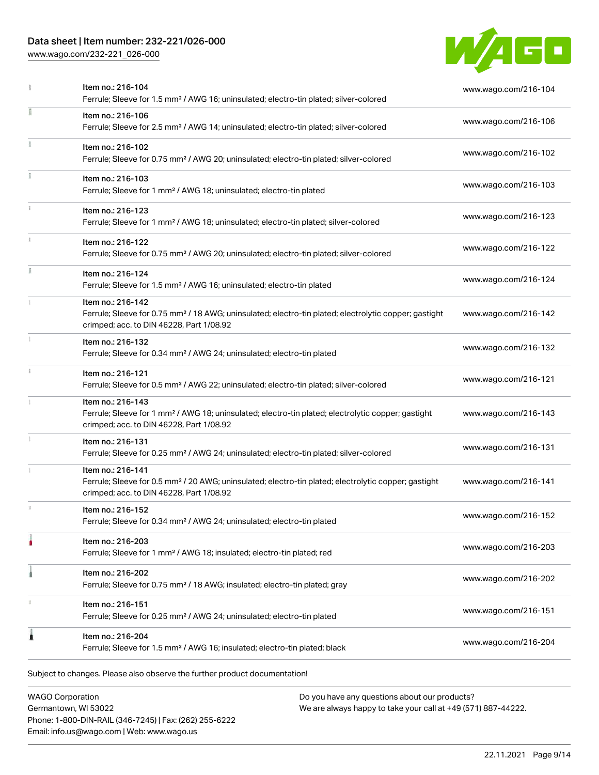# Data sheet | Item number: 232-221/026-000

[www.wago.com/232-221\\_026-000](http://www.wago.com/232-221_026-000)



|            | Item no.: 216-104<br>Ferrule; Sleeve for 1.5 mm <sup>2</sup> / AWG 16; uninsulated; electro-tin plated; silver-colored                                                             | www.wago.com/216-104 |
|------------|------------------------------------------------------------------------------------------------------------------------------------------------------------------------------------|----------------------|
|            | Item no.: 216-106<br>Ferrule; Sleeve for 2.5 mm <sup>2</sup> / AWG 14; uninsulated; electro-tin plated; silver-colored                                                             | www.wago.com/216-106 |
|            | Item no.: 216-102<br>Ferrule; Sleeve for 0.75 mm <sup>2</sup> / AWG 20; uninsulated; electro-tin plated; silver-colored                                                            | www.wago.com/216-102 |
|            | Item no.: 216-103<br>Ferrule; Sleeve for 1 mm <sup>2</sup> / AWG 18; uninsulated; electro-tin plated                                                                               | www.wago.com/216-103 |
| î.         | Item no.: 216-123<br>Ferrule; Sleeve for 1 mm <sup>2</sup> / AWG 18; uninsulated; electro-tin plated; silver-colored                                                               | www.wago.com/216-123 |
| $\ddot{x}$ | Item no.: 216-122<br>Ferrule; Sleeve for 0.75 mm <sup>2</sup> / AWG 20; uninsulated; electro-tin plated; silver-colored                                                            | www.wago.com/216-122 |
|            | Item no.: 216-124<br>Ferrule; Sleeve for 1.5 mm <sup>2</sup> / AWG 16; uninsulated; electro-tin plated                                                                             | www.wago.com/216-124 |
|            | Item no.: 216-142<br>Ferrule; Sleeve for 0.75 mm <sup>2</sup> / 18 AWG; uninsulated; electro-tin plated; electrolytic copper; gastight<br>crimped; acc. to DIN 46228, Part 1/08.92 | www.wago.com/216-142 |
| 1          | Item no.: 216-132<br>Ferrule; Sleeve for 0.34 mm <sup>2</sup> / AWG 24; uninsulated; electro-tin plated                                                                            | www.wago.com/216-132 |
| ī.         | Item no.: 216-121<br>Ferrule; Sleeve for 0.5 mm <sup>2</sup> / AWG 22; uninsulated; electro-tin plated; silver-colored                                                             | www.wago.com/216-121 |
|            | Item no.: 216-143<br>Ferrule; Sleeve for 1 mm <sup>2</sup> / AWG 18; uninsulated; electro-tin plated; electrolytic copper; gastight<br>crimped; acc. to DIN 46228, Part 1/08.92    | www.wago.com/216-143 |
| 1          | Item no.: 216-131<br>Ferrule; Sleeve for 0.25 mm <sup>2</sup> / AWG 24; uninsulated; electro-tin plated; silver-colored                                                            | www.wago.com/216-131 |
|            | Item no.: 216-141<br>Ferrule; Sleeve for 0.5 mm <sup>2</sup> / 20 AWG; uninsulated; electro-tin plated; electrolytic copper; gastight<br>crimped; acc. to DIN 46228, Part 1/08.92  | www.wago.com/216-141 |
| 1          | Item no.: 216-152<br>Ferrule; Sleeve for 0.34 mm <sup>2</sup> / AWG 24; uninsulated; electro-tin plated                                                                            | www.wago.com/216-152 |
|            | Item no.: 216-203<br>Ferrule; Sleeve for 1 mm <sup>2</sup> / AWG 18; insulated; electro-tin plated; red                                                                            | www.wago.com/216-203 |
|            | Item no.: 216-202<br>Ferrule; Sleeve for 0.75 mm <sup>2</sup> / 18 AWG; insulated; electro-tin plated; gray                                                                        | www.wago.com/216-202 |
|            | Item no.: 216-151<br>Ferrule; Sleeve for 0.25 mm <sup>2</sup> / AWG 24; uninsulated; electro-tin plated                                                                            | www.wago.com/216-151 |
| 1          | Item no.: 216-204<br>Ferrule; Sleeve for 1.5 mm <sup>2</sup> / AWG 16; insulated; electro-tin plated; black                                                                        | www.wago.com/216-204 |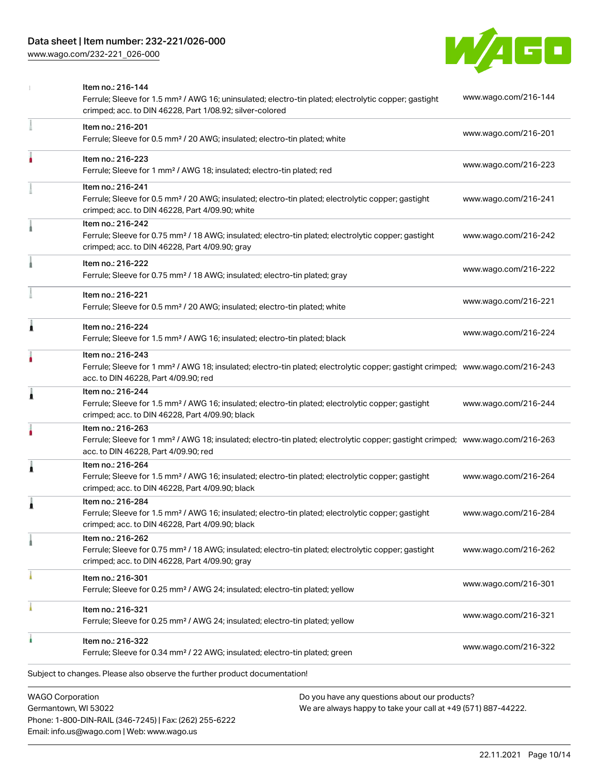# Data sheet | Item number: 232-221/026-000

[www.wago.com/232-221\\_026-000](http://www.wago.com/232-221_026-000)



|   | <b>WAGO Corporation</b><br>Do you have any questions about our products?                                                                                                                                |                      |
|---|---------------------------------------------------------------------------------------------------------------------------------------------------------------------------------------------------------|----------------------|
|   | Subject to changes. Please also observe the further product documentation!                                                                                                                              |                      |
|   | Item no.: 216-322<br>Ferrule; Sleeve for 0.34 mm <sup>2</sup> / 22 AWG; insulated; electro-tin plated; green                                                                                            | www.wago.com/216-322 |
|   | Item no.: 216-321<br>Ferrule; Sleeve for 0.25 mm <sup>2</sup> / AWG 24; insulated; electro-tin plated; yellow                                                                                           | www.wago.com/216-321 |
|   | Item no.: 216-301<br>Ferrule; Sleeve for 0.25 mm <sup>2</sup> / AWG 24; insulated; electro-tin plated; yellow                                                                                           | www.wago.com/216-301 |
|   | Item no.: 216-262<br>Ferrule; Sleeve for 0.75 mm <sup>2</sup> / 18 AWG; insulated; electro-tin plated; electrolytic copper; gastight<br>crimped; acc. to DIN 46228, Part 4/09.90; gray                  | www.wago.com/216-262 |
|   | Item no.: 216-284<br>Ferrule; Sleeve for 1.5 mm <sup>2</sup> / AWG 16; insulated; electro-tin plated; electrolytic copper; gastight<br>crimped; acc. to DIN 46228, Part 4/09.90; black                  | www.wago.com/216-284 |
| 1 | Item no.: 216-264<br>Ferrule; Sleeve for 1.5 mm <sup>2</sup> / AWG 16; insulated; electro-tin plated; electrolytic copper; gastight<br>crimped; acc. to DIN 46228, Part 4/09.90; black                  | www.wago.com/216-264 |
|   | Item no.: 216-263<br>Ferrule; Sleeve for 1 mm <sup>2</sup> / AWG 18; insulated; electro-tin plated; electrolytic copper; gastight crimped; www.wago.com/216-263<br>acc. to DIN 46228, Part 4/09.90; red |                      |
| 1 | Item no.: 216-244<br>Ferrule; Sleeve for 1.5 mm <sup>2</sup> / AWG 16; insulated; electro-tin plated; electrolytic copper; gastight<br>crimped; acc. to DIN 46228, Part 4/09.90; black                  | www.wago.com/216-244 |
|   | Item no.: 216-243<br>Ferrule; Sleeve for 1 mm <sup>2</sup> / AWG 18; insulated; electro-tin plated; electrolytic copper; gastight crimped; www.wago.com/216-243<br>acc. to DIN 46228, Part 4/09.90; red |                      |
| Ă | Item no.: 216-224<br>Ferrule; Sleeve for 1.5 mm <sup>2</sup> / AWG 16; insulated; electro-tin plated; black                                                                                             | www.wago.com/216-224 |
|   | Item no.: 216-221<br>Ferrule; Sleeve for 0.5 mm <sup>2</sup> / 20 AWG; insulated; electro-tin plated; white                                                                                             | www.wago.com/216-221 |
|   | Item no.: 216-222<br>Ferrule; Sleeve for 0.75 mm <sup>2</sup> / 18 AWG; insulated; electro-tin plated; gray                                                                                             | www.wago.com/216-222 |
|   | Item no.: 216-242<br>Ferrule; Sleeve for 0.75 mm <sup>2</sup> / 18 AWG; insulated; electro-tin plated; electrolytic copper; gastight<br>crimped; acc. to DIN 46228, Part 4/09.90; gray                  | www.wago.com/216-242 |
|   | Item no.: 216-241<br>Ferrule; Sleeve for 0.5 mm <sup>2</sup> / 20 AWG; insulated; electro-tin plated; electrolytic copper; gastight<br>crimped; acc. to DIN 46228, Part 4/09.90; white                  | www.wago.com/216-241 |
|   | Item no.: 216-223<br>Ferrule; Sleeve for 1 mm <sup>2</sup> / AWG 18; insulated; electro-tin plated; red                                                                                                 | www.wago.com/216-223 |
|   | Item no.: 216-201<br>Ferrule; Sleeve for 0.5 mm <sup>2</sup> / 20 AWG; insulated; electro-tin plated; white                                                                                             | www.wago.com/216-201 |
|   | Item no.: 216-144<br>Ferrule; Sleeve for 1.5 mm <sup>2</sup> / AWG 16; uninsulated; electro-tin plated; electrolytic copper; gastight<br>crimped; acc. to DIN 46228, Part 1/08.92; silver-colored       | www.wago.com/216-144 |

Germantown, WI 53022 Phone: 1-800-DIN-RAIL (346-7245) | Fax: (262) 255-6222 Email: info.us@wago.com | Web: www.wago.us

have any questions about o<mark>l</mark> We are always happy to take your call at +49 (571) 887-44222.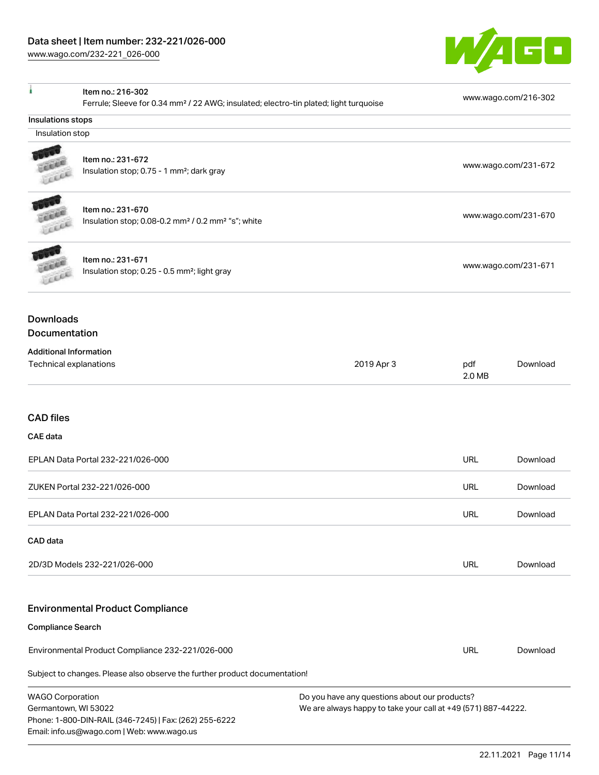Email: info.us@wago.com | Web: www.wago.us

[www.wago.com/232-221\\_026-000](http://www.wago.com/232-221_026-000)



| à                                                                                     | Item no.: 216-302<br>Ferrule; Sleeve for 0.34 mm <sup>2</sup> / 22 AWG; insulated; electro-tin plated; light turquoise |                                                                                                                |                      | www.wago.com/216-302 |
|---------------------------------------------------------------------------------------|------------------------------------------------------------------------------------------------------------------------|----------------------------------------------------------------------------------------------------------------|----------------------|----------------------|
| Insulations stops                                                                     |                                                                                                                        |                                                                                                                |                      |                      |
| Insulation stop                                                                       |                                                                                                                        |                                                                                                                |                      |                      |
|                                                                                       | Item no.: 231-672<br>Insulation stop; 0.75 - 1 mm <sup>2</sup> ; dark gray                                             |                                                                                                                |                      | www.wago.com/231-672 |
| Lecce                                                                                 | Item no.: 231-670<br>Insulation stop; 0.08-0.2 mm <sup>2</sup> / 0.2 mm <sup>2</sup> "s"; white                        |                                                                                                                |                      | www.wago.com/231-670 |
| Item no.: 231-671<br>Insulation stop; 0.25 - 0.5 mm <sup>2</sup> ; light gray<br>LEEE |                                                                                                                        |                                                                                                                | www.wago.com/231-671 |                      |
| <b>Downloads</b><br>Documentation                                                     |                                                                                                                        |                                                                                                                |                      |                      |
| <b>Additional Information</b><br>Technical explanations                               |                                                                                                                        | 2019 Apr 3                                                                                                     | pdf<br>2.0 MB        | Download             |
| <b>CAD</b> files                                                                      |                                                                                                                        |                                                                                                                |                      |                      |
| <b>CAE</b> data                                                                       |                                                                                                                        |                                                                                                                |                      |                      |
|                                                                                       | EPLAN Data Portal 232-221/026-000                                                                                      |                                                                                                                | <b>URL</b>           | Download             |
|                                                                                       | ZUKEN Portal 232-221/026-000                                                                                           |                                                                                                                | <b>URL</b>           | Download             |
|                                                                                       | EPLAN Data Portal 232-221/026-000                                                                                      |                                                                                                                | <b>URL</b>           | Download             |
| CAD data                                                                              |                                                                                                                        |                                                                                                                |                      |                      |
|                                                                                       | 2D/3D Models 232-221/026-000                                                                                           |                                                                                                                | <b>URL</b>           | Download             |
|                                                                                       | <b>Environmental Product Compliance</b>                                                                                |                                                                                                                |                      |                      |
| <b>Compliance Search</b>                                                              |                                                                                                                        |                                                                                                                |                      |                      |
|                                                                                       | Environmental Product Compliance 232-221/026-000                                                                       |                                                                                                                | <b>URL</b>           | Download             |
|                                                                                       | Subject to changes. Please also observe the further product documentation!                                             |                                                                                                                |                      |                      |
| <b>WAGO Corporation</b><br>Germantown, WI 53022                                       | Phone: 1-800-DIN-RAIL (346-7245)   Fax: (262) 255-6222                                                                 | Do you have any questions about our products?<br>We are always happy to take your call at +49 (571) 887-44222. |                      |                      |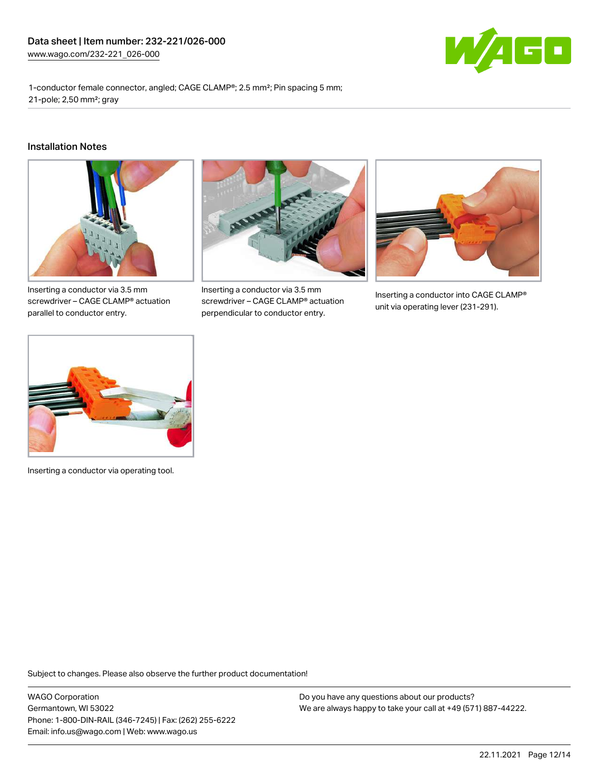

1-conductor female connector, angled; CAGE CLAMP®; 2.5 mm²; Pin spacing 5 mm; 21-pole; 2,50 mm²; gray

#### Installation Notes



Inserting a conductor via 3.5 mm screwdriver – CAGE CLAMP® actuation parallel to conductor entry.



Inserting a conductor via 3.5 mm screwdriver – CAGE CLAMP® actuation perpendicular to conductor entry.



Inserting a conductor into CAGE CLAMP® unit via operating lever (231-291).



Inserting a conductor via operating tool.

Subject to changes. Please also observe the further product documentation!

WAGO Corporation Germantown, WI 53022 Phone: 1-800-DIN-RAIL (346-7245) | Fax: (262) 255-6222 Email: info.us@wago.com | Web: www.wago.us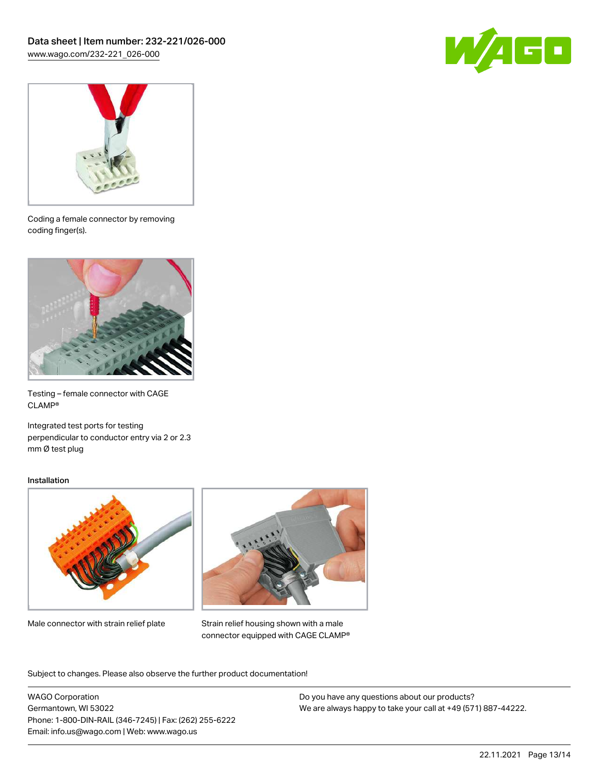



Coding a female connector by removing coding finger(s).



Testing – female connector with CAGE CLAMP®

Integrated test ports for testing perpendicular to conductor entry via 2 or 2.3 mm Ø test plug

#### Installation



Male connector with strain relief plate



Strain relief housing shown with a male connector equipped with CAGE CLAMP®

Subject to changes. Please also observe the further product documentation!

WAGO Corporation Germantown, WI 53022 Phone: 1-800-DIN-RAIL (346-7245) | Fax: (262) 255-6222 Email: info.us@wago.com | Web: www.wago.us